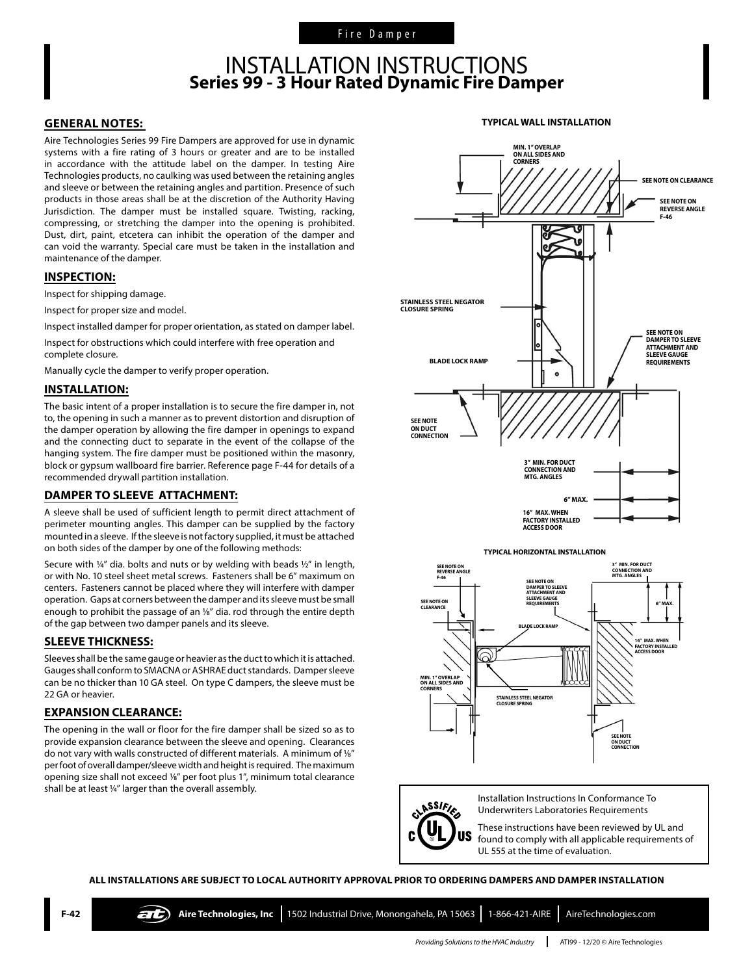### INSTALLATION INSTRUCTIONS **Series 99 - 3 Hour Rated Dynamic Fire Damper**

#### **GENERAL NOTES:**

Aire Technologies Series 99 Fire Dampers are approved for use in dynamic systems with a fire rating of 3 hours or greater and are to be installed in accordance with the attitude label on the damper. In testing Aire Technologies products, no caulking was used between the retaining angles and sleeve or between the retaining angles and partition. Presence of such products in those areas shall be at the discretion of the Authority Having Jurisdiction. The damper must be installed square. Twisting, racking, compressing, or stretching the damper into the opening is prohibited. Dust, dirt, paint, etcetera can inhibit the operation of the damper and can void the warranty. Special care must be taken in the installation and maintenance of the damper.

#### **INSPECTION:**

Inspect for shipping damage.

Inspect for proper size and model.

Inspect installed damper for proper orientation, as stated on damper label.

Inspect for obstructions which could interfere with free operation and complete closure.

Manually cycle the damper to verify proper operation.

#### **INSTALLATION:**

The basic intent of a proper installation is to secure the fire damper in, not to, the opening in such a manner as to prevent distortion and disruption of the damper operation by allowing the fire damper in openings to expand and the connecting duct to separate in the event of the collapse of the hanging system. The fire damper must be positioned within the masonry, block or gypsum wallboard fire barrier. Reference page F-44 for details of a recommended drywall partition installation.

#### **DAMPER TO SLEEVE ATTACHMENT:**

A sleeve shall be used of sufficient length to permit direct attachment of perimeter mounting angles. This damper can be supplied by the factory mounted in a sleeve. If the sleeve is not factory supplied, it must be attached on both sides of the damper by one of the following methods:

Secure with ¼" dia. bolts and nuts or by welding with beads ½" in length, or with No. 10 steel sheet metal screws. Fasteners shall be 6" maximum on centers. Fasteners cannot be placed where they will interfere with damper operation. Gaps at corners between the damper and its sleeve must be small enough to prohibit the passage of an 1/8" dia. rod through the entire depth of the gap between two damper panels and its sleeve.

#### **SLEEVE THICKNESS:**

Sleeves shall be the same gauge or heavier as the duct to which it is attached. Gauges shall conform to SMACNA or ASHRAE duct standards. Damper sleeve can be no thicker than 10 GA steel. On type C dampers, the sleeve must be 22 GA or heavier.

#### **EXPANSION CLEARANCE:**

The opening in the wall or floor for the fire damper shall be sized so as to provide expansion clearance between the sleeve and opening. Clearances do not vary with walls constructed of different materials. A minimum of 1/8" per foot of overall damper/sleeve width and height is required. The maximum opening size shall not exceed 1/8" per foot plus 1", minimum total clearance shall be at least 1/4" larger than the overall assembly.



**TYPICAL WALL INSTALLATION**



Installation Instructions In Conformance To ASSIFIED Underwriters Laboratories Requirements

US

These instructions have been reviewed by UL and found to comply with all applicable requirements of UL 555 at the time of evaluation.

**ALL INSTALLATIONS ARE SUBJECT TO LOCAL AUTHORITY APPROVAL PRIOR TO ORDERING DAMPERS AND DAMPER INSTALLATION**

*Providing Solutions to the HVAC Industry* ATI99 - 12/20 © Aire Technologies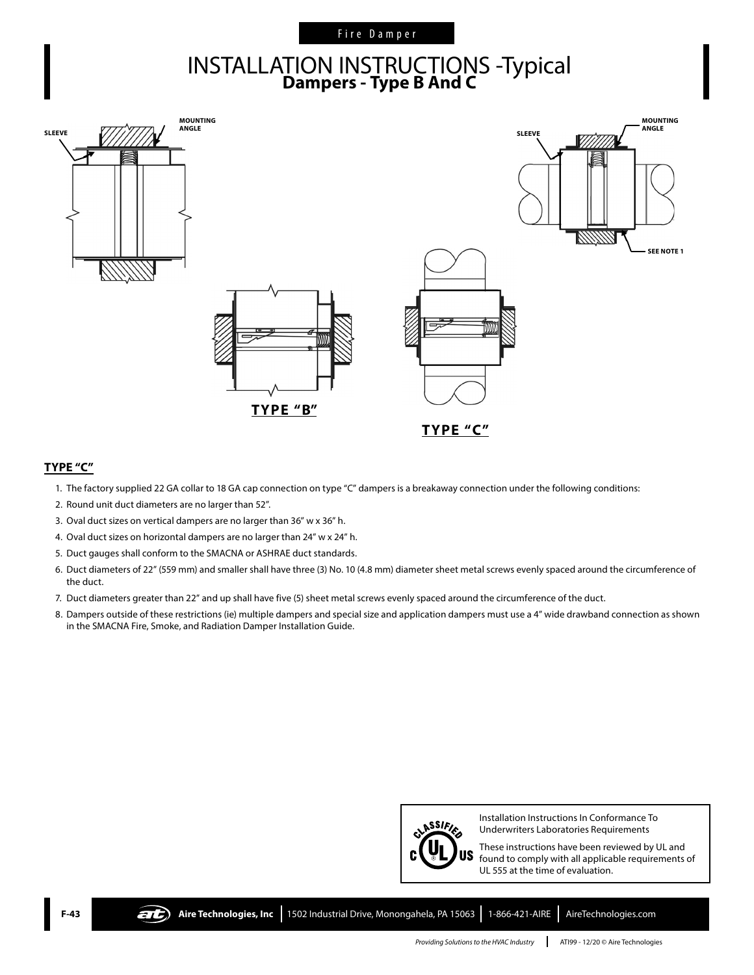#### Fire Damper

# INSTALLATION INSTRUCTIONS -Typical **Dampers - Type B And C**



#### **TYPE "C"**

- 1. The factory supplied 22 GA collar to 18 GA cap connection on type "C" dampers is a breakaway connection under the following conditions:
- 2. Round unit duct diameters are no larger than 52".
- 3. Oval duct sizes on vertical dampers are no larger than 36" w x 36" h.
- 4. Oval duct sizes on horizontal dampers are no larger than 24" w x 24" h.
- 5. Duct gauges shall conform to the SMACNA or ASHRAE duct standards.
- 6. Duct diameters of 22" (559 mm) and smaller shall have three (3) No. 10 (4.8 mm) diameter sheet metal screws evenly spaced around the circumference of the duct.
- 7. Duct diameters greater than 22" and up shall have five (5) sheet metal screws evenly spaced around the circumference of the duct.
- 8. Dampers outside of these restrictions (ie) multiple dampers and special size and application dampers must use a 4" wide drawband connection as shown in the SMACNA Fire, Smoke, and Radiation Damper Installation Guide.



Installation Instructions In Conformance To Underwriters Laboratories Requirements

These instructions have been reviewed by UL and found to comply with all applicable requirements of UL 555 at the time of evaluation.

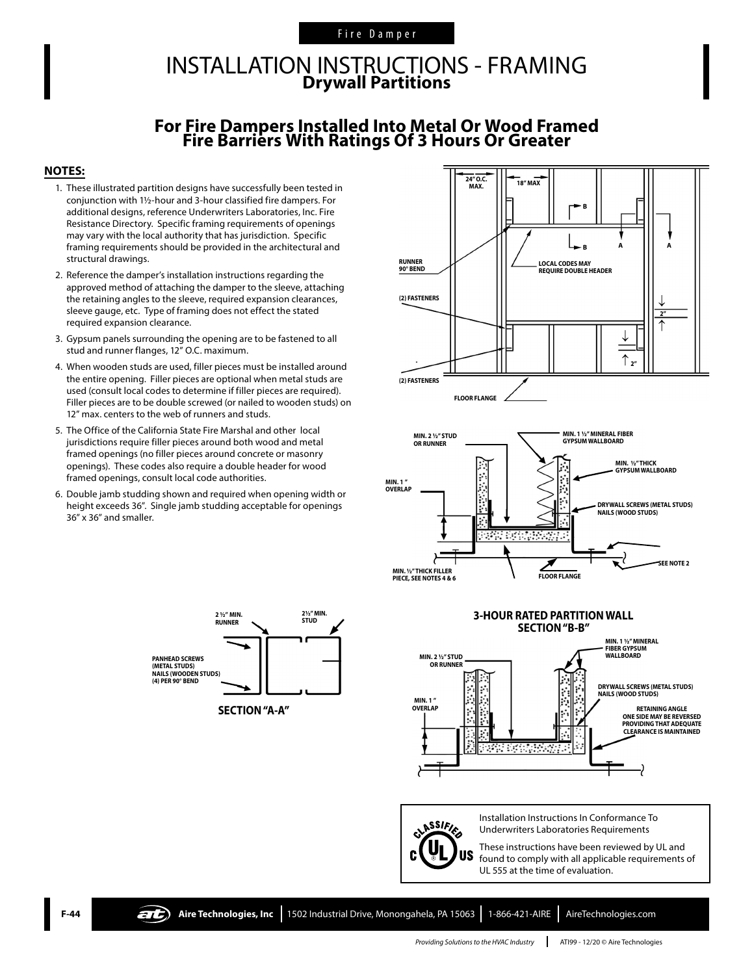#### Fire Damper

## INSTALLATION INSTRUCTIONS - FRAMING **Drywall Partitions**

## **For Fire Dampers Installed Into Metal Or Wood Framed Fire Barriers With Ratings Of 3 Hours Or Greater**

#### **NOTES:**

- 1. These illustrated partition designs have successfully been tested in conjunction with 1½-hour and 3-hour classified fire dampers. For additional designs, reference Underwriters Laboratories, Inc. Fire Resistance Directory. Specific framing requirements of openings may vary with the local authority that has jurisdiction. Specific framing requirements should be provided in the architectural and structural drawings.
- 2. Reference the damper's installation instructions regarding the approved method of attaching the damper to the sleeve, attaching the retaining angles to the sleeve, required expansion clearances, sleeve gauge, etc. Type of framing does not effect the stated required expansion clearance.
- 3. Gypsum panels surrounding the opening are to be fastened to all stud and runner flanges, 12" O.C. maximum.
- 4. When wooden studs are used, filler pieces must be installed around the entire opening. Filler pieces are optional when metal studs are used (consult local codes to determine if filler pieces are required). Filler pieces are to be double screwed (or nailed to wooden studs) on 12" max. centers to the web of runners and studs.
- 5. The Office of the California State Fire Marshal and other local jurisdictions require filler pieces around both wood and metal framed openings (no filler pieces around concrete or masonry openings). These codes also require a double header for wood framed openings, consult local code authorities.
- 6. Double jamb studding shown and required when opening width or height exceeds 36". Single jamb studding acceptable for openings 36" x 36" and smaller.

**PANHEAD SCREWS (METAL STUDS) NAILS (WOODEN STUDS) (4) PER 90° BEND**

**2½" MIN.** 

 $\angle$ 

**2 <sup>1</sup>/<sub>2</sub> /\* MIN. 2**<sup>1</sup>/<sub>2</sub> *2* <sup>1</sup>/<sub>2</sub> **2** <sup>2</sup>/<sub>2</sub> *N* **5TUD** 

 $\blacktriangleright$ 

→

→

**SECTION "A-A"**

**RUNNER**







CLASSIFIES **US**  Installation Instructions In Conformance To Underwriters Laboratories Requirements

These instructions have been reviewed by UL and found to comply with all applicable requirements of UL 555 at the time of evaluation.

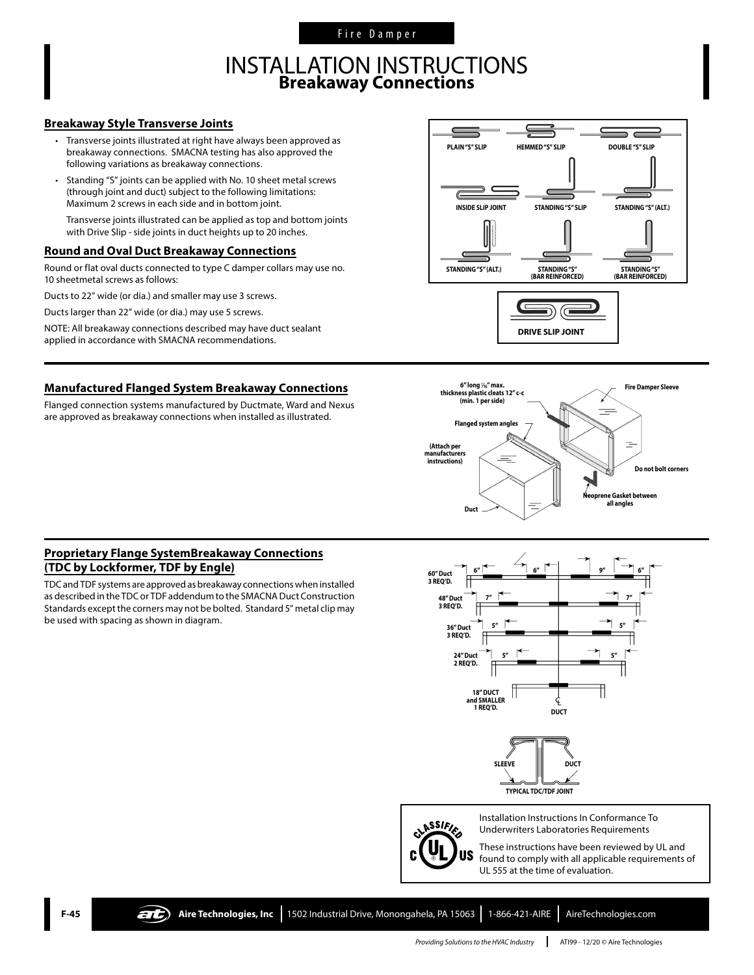Fire Damper

## INSTALLATION INSTRUCTIONS **Breakaway Connections**

#### **Breakaway Style Transverse Joints**

- Transverse joints illustrated at right have always been approved as breakaway connections. SMACNA testing has also approved the following variations as breakaway connections.
- Standing "S" joints can be applied with No. 10 sheet metal screws (through joint and duct) subject to the following limitations: Maximum 2 screws in each side and in bottom joint.

Transverse joints illustrated can be applied as top and bottom joints with Drive Slip - side joints in duct heights up to 20 inches.

#### **Round and Oval Duct Breakaway Connections**

Round or flat oval ducts connected to type C damper collars may use no. 10 sheetmetal screws as follows:

Ducts to 22" wide (or dia.) and smaller may use 3 screws.

Ducts larger than 22" wide (or dia.) may use 5 screws.

NOTE: All breakaway connections described may have duct sealant applied in accordance with SMACNA recommendations.

#### **Manufactured Flanged System Breakaway Connections**

Flanged connection systems manufactured by Ductmate, Ward and Nexus are approved as breakaway connections when installed as illustrated.





#### **Proprietary Flange SystemBreakaway Connections (TDC by Lockformer, TDF by Engle)**

TDC and TDF systems are approved as breakaway connections when installed as described in the TDC or TDF addendum to the SMACNA Duct Construction Standards except the corners may not be bolted. Standard 5" metal clip may be used with spacing as shown in diagram.





Installation Instructions In Conformance To Underwriters Laboratories Requirements

These instructions have been reviewed by UL and found to comply with all applicable requirements of UL 555 at the time of evaluation.



**F-45 Aire Technologies, Inc** 1502 Industrial Drive, Monongahela, PA 15063 1-866-421-AIRE AireTechnologies.com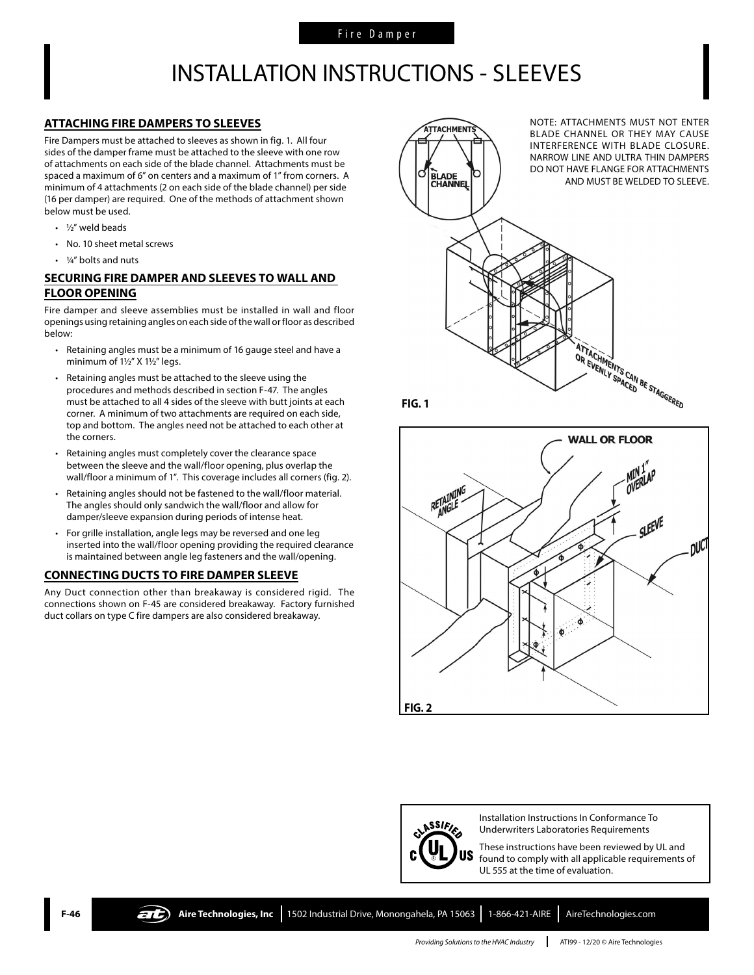## INSTALLATION INSTRUCTIONS - SLEEVES

#### **ATTACHING FIRE DAMPERS TO SLEEVES**

Fire Dampers must be attached to sleeves as shown in fig. 1. All four sides of the damper frame must be attached to the sleeve with one row of attachments on each side of the blade channel. Attachments must be spaced a maximum of 6" on centers and a maximum of 1" from corners. A minimum of 4 attachments (2 on each side of the blade channel) per side (16 per damper) are required. One of the methods of attachment shown below must be used.

- $\cdot$  1/2" weld beads
- No. 10 sheet metal screws
- 1/4" bolts and nuts

#### **SECURING FIRE DAMPER AND SLEEVES TO WALL AND FLOOR OPENING**

Fire damper and sleeve assemblies must be installed in wall and floor openings using retaining angles on each side of the wall or floor as described below:

- Retaining angles must be a minimum of 16 gauge steel and have a minimum of 1½" X 1½" legs.
- Retaining angles must be attached to the sleeve using the procedures and methods described in section F-47. The angles must be attached to all 4 sides of the sleeve with butt joints at each corner. A minimum of two attachments are required on each side, top and bottom. The angles need not be attached to each other at the corners.
- Retaining angles must completely cover the clearance space between the sleeve and the wall/floor opening, plus overlap the wall/floor a minimum of 1". This coverage includes all corners (fig. 2).
- Retaining angles should not be fastened to the wall/floor material. The angles should only sandwich the wall/floor and allow for damper/sleeve expansion during periods of intense heat.
- For grille installation, angle legs may be reversed and one leg inserted into the wall/floor opening providing the required clearance is maintained between angle leg fasteners and the wall/opening.

#### **CONNECTING DUCTS TO FIRE DAMPER SLEEVE**

Any Duct connection other than breakaway is considered rigid. The connections shown on F-45 are considered breakaway. Factory furnished duct collars on type C fire dampers are also considered breakaway.









Installation Instructions In Conformance To Underwriters Laboratories Requirements

These instructions have been reviewed by UL and found to comply with all applicable requirements of UL 555 at the time of evaluation.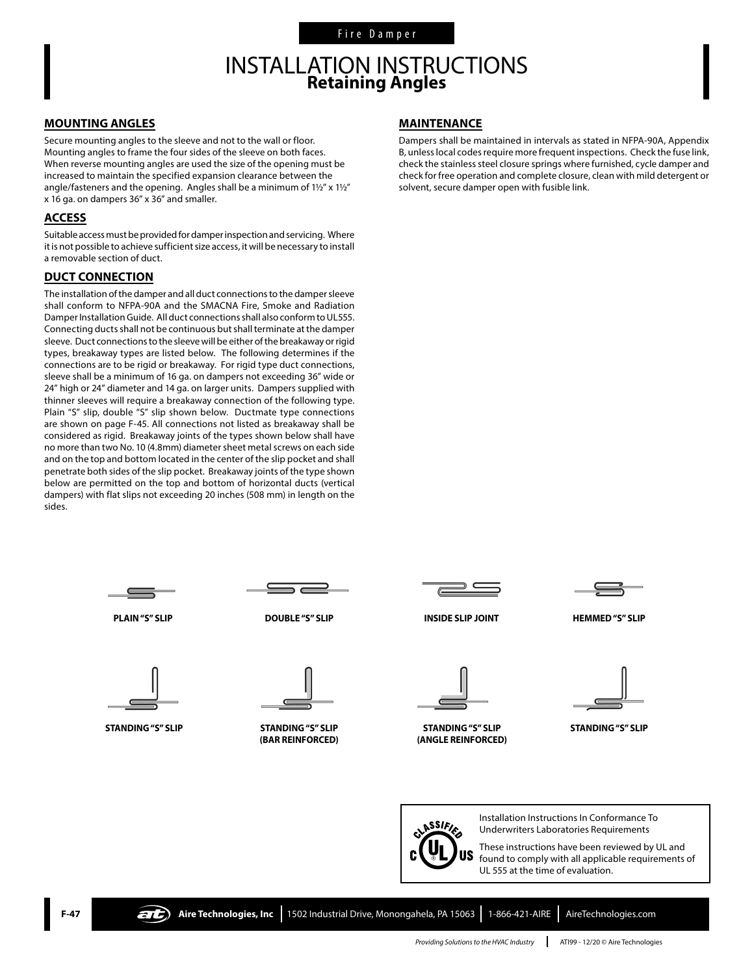## INSTALLATION INSTRUCTIONS **Retaining Angles**

#### **MOUNTING ANGLES**

Secure mounting angles to the sleeve and not to the wall or floor. Mounting angles to frame the four sides of the sleeve on both faces. When reverse mounting angles are used the size of the opening must be increased to maintain the specified expansion clearance between the angle/fasteners and the opening. Angles shall be a minimum of 1½" x 1½" x 16 ga. on dampers 36" x 36" and smaller.

#### **ACCESS**

Suitable access must be provided for damper inspection and servicing. Where it is not possible to achieve sufficient size access, it will be necessary to install a removable section of duct.

#### **DUCT CONNECTION**

The installation of the damper and all duct connections to the damper sleeve shall conform to NFPA-90A and the SMACNA Fire, Smoke and Radiation Damper Installation Guide. All duct connections shall also conform to UL555. Connecting ducts shall not be continuous but shall terminate at the damper sleeve. Duct connections to the sleeve will be either of the breakaway or rigid types, breakaway types are listed below. The following determines if the connections are to be rigid or breakaway. For rigid type duct connections, sleeve shall be a minimum of 16 ga. on dampers not exceeding 36" wide or 24" high or 24" diameter and 14 ga. on larger units. Dampers supplied with thinner sleeves will require a breakaway connection of the following type. Plain "S" slip, double "S" slip shown below. Ductmate type connections are shown on page F-45. All connections not listed as breakaway shall be considered as rigid. Breakaway joints of the types shown below shall have no more than two No. 10 (4.8mm) diameter sheet metal screws on each side and on the top and bottom located in the center of the slip pocket and shall penetrate both sides of the slip pocket. Breakaway joints of the type shown below are permitted on the top and bottom of horizontal ducts (vertical dampers) with flat slips not exceeding 20 inches (508 mm) in length on the sides.

#### **MAINTENANCE**

Dampers shall be maintained in intervals as stated in NFPA-90A, Appendix B, unless local codes require more frequent inspections. Check the fuse link, check the stainless steel closure springs where furnished, cycle damper and check for free operation and complete closure, clean with mild detergent or solvent, secure damper open with fusible link.



ASSIFIC US

Installation Instructions In Conformance To Underwriters Laboratories Requirements These instructions have been reviewed by UL and

found to comply with all applicable requirements of UL 555 at the time of evaluation.